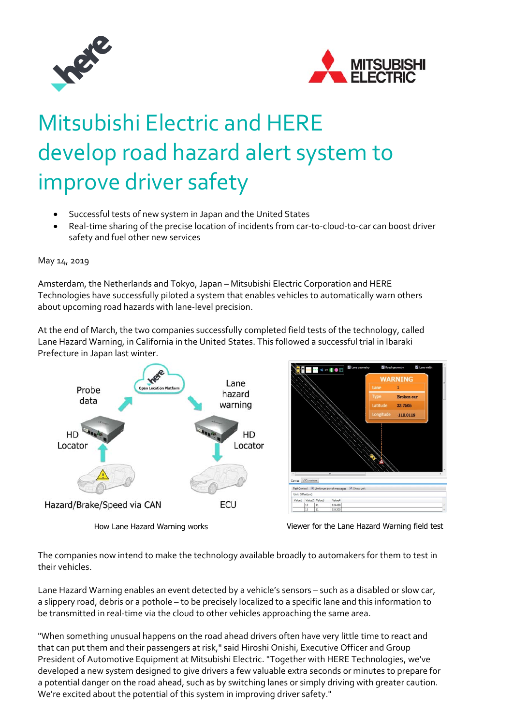



## Mitsubishi Electric and HERE develop road hazard alert system to improve driver safety

- Successful tests of new system in Japan and the United States
- Real-time sharing of the precise location of incidents from car-to-cloud-to-car can boost driver safety and fuel other new services

May 14, 2019

Amsterdam, the Netherlands and Tokyo, Japan – Mitsubishi Electric Corporation and HERE Technologies have successfully piloted a system that enables vehicles to automatically warn others about upcoming road hazards with lane‐level precision.

At the end of March, the two companies successfully completed field tests of the technology, called Lane Hazard Warning, in California in the United States. This followed a successful trial in Ibaraki Prefecture in Japan last winter.



How Lane Hazard Warning works Viewer for the Lane Hazard Warning field test

The companies now intend to make the technology available broadly to automakers for them to test in their vehicles.

Lane Hazard Warning enables an event detected by a vehicle's sensors – such as a disabled or slow car, a slippery road, debris or a pothole – to be precisely localized to a specific lane and this information to be transmitted in real-time via the cloud to other vehicles approaching the same area.

"When something unusual happens on the road ahead drivers often have very little time to react and that can put them and their passengers at risk," said Hiroshi Onishi, Executive Officer and Group President of Automotive Equipment at Mitsubishi Electric. "Together with HERE Technologies, we've developed a new system designed to give drivers a few valuable extra seconds or minutes to prepare for a potential danger on the road ahead, such as by switching lanes or simply driving with greater caution. We're excited about the potential of this system in improving driver safety."